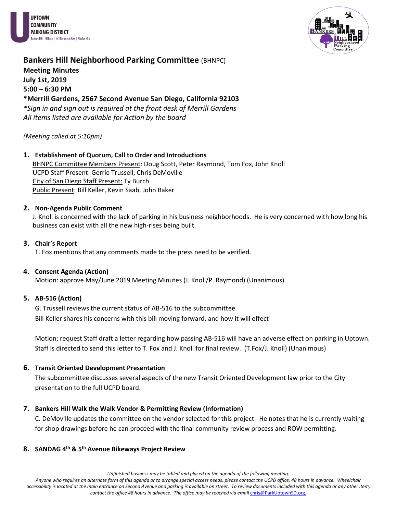



# **Bankers Hill Neighborhood Parking Committee (BHNPC) Meeting Minutes**

**July 1st, 2019 5:00 – 6:30 PM \*Merrill Gardens, 2567 Second Avenue San Diego, California 92103** *\*Sign in and sign out is required at the front desk of Merrill Gardens All items listed are available for Action by the board*

#### *(Meeting called at 5:10pm)*

# **1. Establishment of Quorum, Call to Order and Introductions** BHNPC Committee Members Present: Doug Scott, Peter Raymond, Tom Fox, John Knoll UCPD Staff Present: Gerrie Trussell, Chris DeMoville City of San Diego Staff Present: Ty Burch Public Present: Bill Keller, Kevin Saab, John Baker

#### **2. Non-Agenda Public Comment**

J. Knoll is concerned with the lack of parking in his business neighborhoods. He is very concerned with how long his business can exist with all the new high-rises being built.

#### **3. Chair's Report**

T. Fox mentions that any comments made to the press need to be verified.

#### **4. Consent Agenda (Action)**

Motion: approve May/June 2019 Meeting Minutes (J. Knoll/P. Raymond) (Unanimous)

#### **5. AB-516 (Action)**

G. Trussell reviews the current status of AB-516 to the subcommittee. Bill Keller shares his concerns with this bill moving forward, and how it will effect

Motion: request Staff draft a letter regarding how passing AB-516 will have an adverse effect on parking in Uptown. Staff is directed to send this letter to T. Fox and J. Knoll for final review. (T.Fox/J. Knoll) (Unanimous)

#### **6. Transit Oriented Development Presentation**

The subcommittee discusses several aspects of the new Transit Oriented Development law prior to the City presentation to the full UCPD board.

#### **7. Bankers Hill Walk the Walk Vendor & Permitting Review (Information)**

C. DeMoville updates the committee on the vendor selected for this project. He notes that he is currently waiting for shop drawings before he can proceed with the final community review process and ROW permitting.

#### **8. SANDAG 4th & 5th Avenue Bikeways Project Review**

*Unfinished business may be tabled and placed on the agenda of the following meeting.*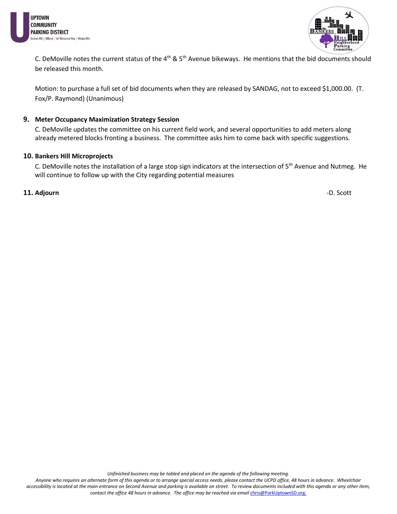



C. DeMoville notes the current status of the  $4^{th}$  &  $5^{th}$  Avenue bikeways. He mentions that the bid documents should be released this month.

Motion: to purchase a full set of bid documents when they are released by SANDAG, not to exceed \$1,000.00. (T. Fox/P. Raymond) (Unanimous)

#### **9. Meter Occupancy Maximization Strategy Session**

C. DeMoville updates the committee on his current field work, and several opportunities to add meters along already metered blocks fronting a business. The committee asks him to come back with specific suggestions.

#### **10. Bankers Hill Microprojects**

C. DeMoville notes the installation of a large stop sign indicators at the intersection of 5<sup>th</sup> Avenue and Nutmeg. He will continue to follow up with the City regarding potential measures

#### **11. Adjourn** -D. Scott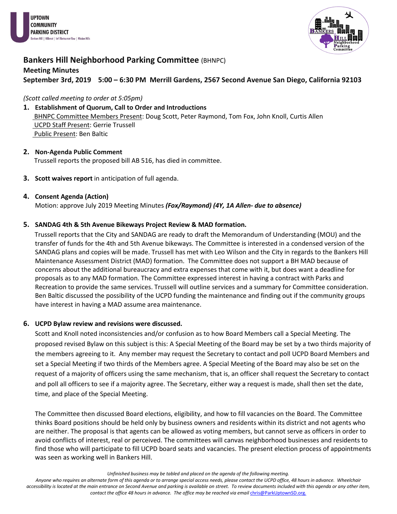



# **Bankers Hill Neighborhood Parking Committee (BHNPC)**

# **Meeting Minutes September 3rd, 2019 5:00 – 6:30 PM Merrill Gardens, 2567 Second Avenue San Diego, California 92103**

*(Scott called meeting to order at 5:05pm)*

- **1. Establishment of Quorum, Call to Order and Introductions** BHNPC Committee Members Present: Doug Scott, Peter Raymond, Tom Fox, John Knoll, Curtis Allen UCPD Staff Present: Gerrie Trussell Public Present: Ben Baltic
- **2. Non-Agenda Public Comment** Trussell reports the proposed bill AB 516, has died in committee.
- **3. Scott waives report** in anticipation of full agenda.

#### **4. Consent Agenda (Action)**

Motion: approve July 2019 Meeting Minutes *(Fox/Raymond) (4Y, 1A Allen- due to absence)*

#### **5. SANDAG 4th & 5th Avenue Bikeways Project Review & MAD formation.**

 Trussell reports that the City and SANDAG are ready to draft the Memorandum of Understanding (MOU) and the transfer of funds for the 4th and 5th Avenue bikeways. The Committee is interested in a condensed version of the SANDAG plans and copies will be made. Trussell has met with Leo Wilson and the City in regards to the Bankers Hill Maintenance Assessment District (MAD) formation. The Committee does not support a BH MAD because of concerns about the additional bureaucracy and extra expenses that come with it, but does want a deadline for proposals as to any MAD formation. The Committee expressed interest in having a contract with Parks and Recreation to provide the same services. Trussell will outline services and a summary for Committee consideration. Ben Baltic discussed the possibility of the UCPD funding the maintenance and finding out if the community groups have interest in having a MAD assume area maintenance.

#### **6. UCPD Bylaw review and revisions were discussed.**

Scott and Knoll noted inconsistencies and/or confusion as to how Board Members call a Special Meeting. The proposed revised Bylaw on this subject is this: A Special Meeting of the Board may be set by a two thirds majority of the members agreeing to it. Any member may request the Secretary to contact and poll UCPD Board Members and set a Special Meeting if two thirds of the Members agree. A Special Meeting of the Board may also be set on the request of a majority of officers using the same mechanism, that is, an officer shall request the Secretary to contact and poll all officers to see if a majority agree. The Secretary, either way a request is made, shall then set the date, time, and place of the Special Meeting.

The Committee then discussed Board elections, eligibility, and how to fill vacancies on the Board. The Committee thinks Board positions should be held only by business owners and residents within its district and not agents who are neither. The proposal is that agents can be allowed as voting members, but cannot serve as officers in order to avoid conflicts of interest, real or perceived. The committees will canvas neighborhood businesses and residents to find those who will participate to fill UCPD board seats and vacancies. The present election process of appointments was seen as working well in Bankers Hill.

*Unfinished business may be tabled and placed on the agenda of the following meeting.*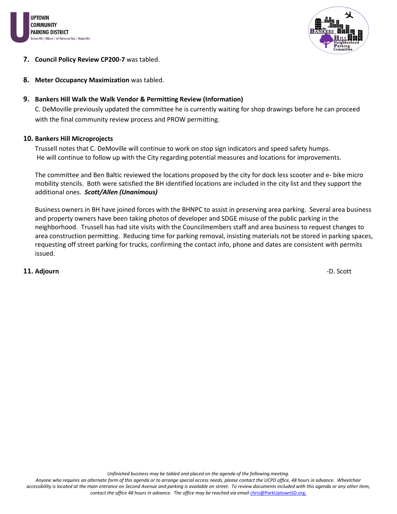



#### **7. Council Policy Review CP200-7** was tabled.

**8. Meter Occupancy Maximization** was tabled.

#### **9. Bankers Hill Walk the Walk Vendor & Permitting Review (Information)**

C. DeMoville previously updated the committee he is currently waiting for shop drawings before he can proceed with the final community review process and PROW permitting.

#### **10. Bankers Hill Microprojects**

Trussell notes that C. DeMoville will continue to work on stop sign indicators and speed safety humps. He will continue to follow up with the City regarding potential measures and locations for improvements.

The committee and Ben Baltic reviewed the locations proposed by the city for dock less scooter and e- bike micro mobility stencils. Both were satisfied the BH identified locations are included in the city list and they support the additional ones. *Scott/Allen (Unanimous)*

Business owners in BH have joined forces with the BHNPC to assist in preserving area parking. Several area business and property owners have been taking photos of developer and SDGE misuse of the public parking in the neighborhood. Trussell has had site visits with the Councilmembers staff and area business to request changes to area construction permitting. Reducing time for parking removal, insisting materials not be stored in parking spaces, requesting off street parking for trucks, confirming the contact info, phone and dates are consistent with permits issued.

## **11. Adjourn** -D. Scott

*Unfinished business may be tabled and placed on the agenda of the following meeting.*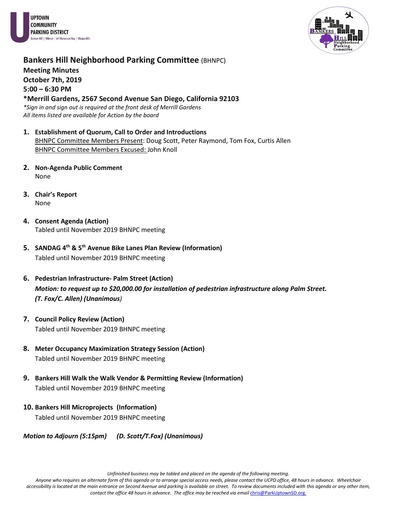



# **Bankers Hill Neighborhood Parking Committee (BHNPC) Meeting Minutes October 7th, 2019 5:00 – 6:30 PM**

**\*Merrill Gardens, 2567 Second Avenue San Diego, California 92103** *\*Sign in and sign out is required at the front desk of Merrill Gardens All items listed are available for Action by the board*

- **1. Establishment of Quorum, Call to Order and Introductions** BHNPC Committee Members Present: Doug Scott, Peter Raymond, Tom Fox, Curtis Allen BHNPC Committee Members Excused: John Knoll
- **2. Non-Agenda Public Comment** None
- **3. Chair's Report**  None
- **4. Consent Agenda (Action)** Tabled until November 2019 BHNPC meeting
- **5. SANDAG 4th & 5th Avenue Bike Lanes Plan Review (Information)** Tabled until November 2019 BHNPC meeting
- **6. Pedestrian Infrastructure- Palm Street (Action)** *Motion: to request up to \$20,000.00 for installation of pedestrian infrastructure along Palm Street. (T. Fox/C. Allen) (Unanimous)*
- **7. Council Policy Review (Action)** Tabled until November 2019 BHNPC meeting
- **8. Meter Occupancy Maximization Strategy Session (Action)** Tabled until November 2019 BHNPC meeting
- **9. Bankers Hill Walk the Walk Vendor & Permitting Review (Information)** Tabled until November 2019 BHNPC meeting
- **10. Bankers Hill Microprojects (Information)**

Tabled until November 2019 BHNPC meeting

*Motion to Adjourn (5:15pm) (D. Scott/T.Fox) (Unanimous)* 

*Unfinished business may be tabled and placed on the agenda of the following meeting.*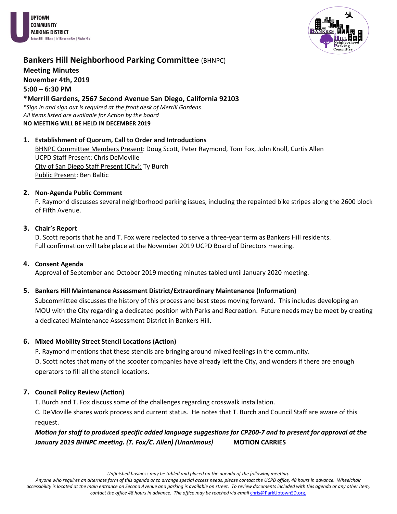



# **Bankers Hill Neighborhood Parking Committee (BHNPC)**

**Meeting Minutes**

**November 4th, 2019**

**5:00 – 6:30 PM**

# **\*Merrill Gardens, 2567 Second Avenue San Diego, California 92103**

*\*Sign in and sign out is required at the front desk of Merrill Gardens All items listed are available for Action by the board* **NO MEETING WILL BE HELD IN DECEMBER 2019**

## **1. Establishment of Quorum, Call to Order and Introductions** BHNPC Committee Members Present: Doug Scott, Peter Raymond, Tom Fox, John Knoll, Curtis Allen UCPD Staff Present: Chris DeMoville City of San Diego Staff Present (City): Ty Burch Public Present: Ben Baltic

# **2. Non-Agenda Public Comment**

P. Raymond discusses several neighborhood parking issues, including the repainted bike stripes along the 2600 block of Fifth Avenue.

# **3. Chair's Report**

D. Scott reports that he and T. Fox were reelected to serve a three-year term as Bankers Hill residents. Full confirmation will take place at the November 2019 UCPD Board of Directors meeting.

# **4. Consent Agenda**

Approval of September and October 2019 meeting minutes tabled until January 2020 meeting.

# **5. Bankers Hill Maintenance Assessment District/Extraordinary Maintenance (Information)**

Subcommittee discusses the history of this process and best steps moving forward. This includes developing an MOU with the City regarding a dedicated position with Parks and Recreation. Future needs may be meet by creating a dedicated Maintenance Assessment District in Bankers Hill.

# **6. Mixed Mobility Street Stencil Locations (Action)**

P. Raymond mentions that these stencils are bringing around mixed feelings in the community.

D. Scott notes that many of the scooter companies have already left the City, and wonders if there are enough operators to fill all the stencil locations.

# **7. Council Policy Review (Action)**

T. Burch and T. Fox discuss some of the challenges regarding crosswalk installation.

C. DeMoville shares work process and current status. He notes that T. Burch and Council Staff are aware of this request.

*Motion for staff to produced specific added language suggestions for CP200-7 and to present for approval at the January 2019 BHNPC meeting. (T. Fox/C. Allen) (Unanimous)* **MOTION CARRIES**